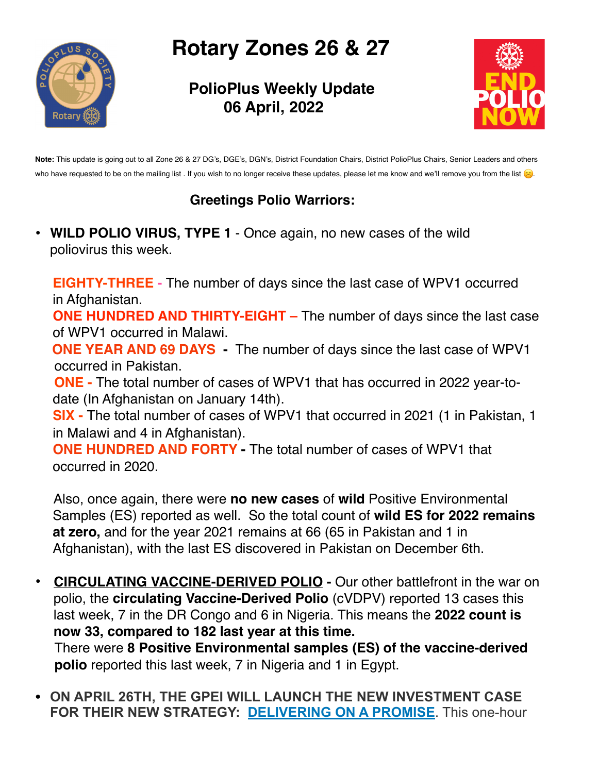# **Rotary Zones 26 & 27**

 **PolioPlus Weekly Update 06 April, 2022**



**Note:** This update is going out to all Zone 26 & 27 DG's, DGE's, DGN's, District Foundation Chairs, District PolioPlus Chairs, Senior Leaders and others who have requested to be on the mailing list . If you wish to no longer receive these updates, please let me know and we'll remove you from the list (3).

## **Greetings Polio Warriors:**

**• WILD POLIO VIRUS, TYPE 1** - Once again, no new cases of the wild poliovirus this week.

**EIGHTY-THREE -** The number of days since the last case of WPV1 occurred in Afghanistan.

**ONE HUNDRED AND THIRTY-EIGHT –** The number of days since the last case of WPV1 occurred in Malawi.

 **ONE YEAR AND 69 DAYS -** The number of days since the last case of WPV1 occurred in Pakistan.

 **ONE -** The total number of cases of WPV1 that has occurred in 2022 year-todate (In Afghanistan on January 14th).

**SIX -** The total number of cases of WPV1 that occurred in 2021 (1 in Pakistan, 1 in Malawi and 4 in Afghanistan).

**ONE HUNDRED AND FORTY -** The total number of cases of WPV1 that occurred in 2020.

 Also, once again, there were **no new cases** of **wild** Positive Environmental Samples (ES) reported as well. So the total count of **wild ES for 2022 remains at zero,** and for the year 2021 remains at 66 (65 in Pakistan and 1 in Afghanistan), with the last ES discovered in Pakistan on December 6th.

- **CIRCULATING VACCINE-DERIVED POLIO -** Our other battlefront in the war on polio, the **circulating Vaccine-Derived Polio** (cVDPV) reported 13 cases this last week, 7 in the DR Congo and 6 in Nigeria. This means the **2022 count is now 33, compared to 182 last year at this time.** There were **8 Positive Environmental samples (ES) of the vaccine-derived polio** reported this last week, 7 in Nigeria and 1 in Egypt.
- **ON APRIL 26TH, THE GPEI WILL LAUNCH THE NEW INVESTMENT CASE FOR THEIR NEW STRATEGY: [DELIVERING ON A PROMISE](https://polioeradication.org/gpei-strategy-2022-2026/)**. This one-hour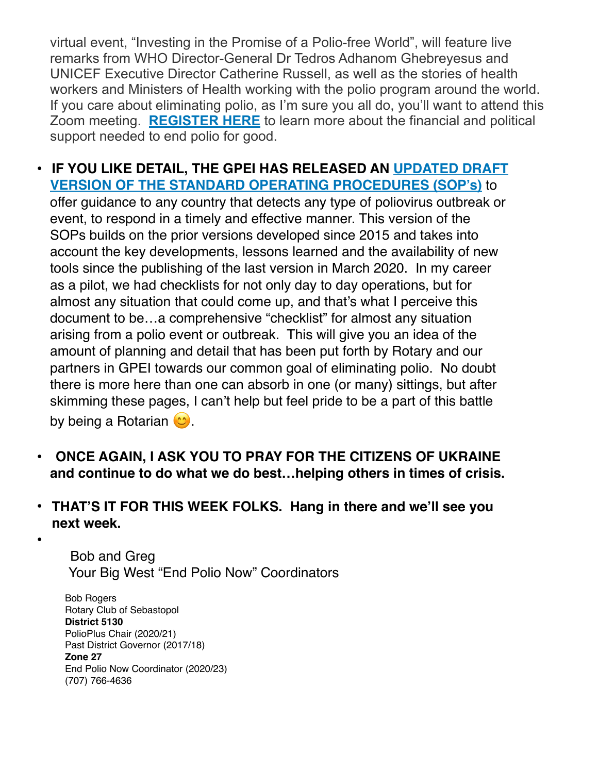virtual event, "Investing in the Promise of a Polio-free World", will feature live remarks from WHO Director-General Dr Tedros Adhanom Ghebreyesus and UNICEF Executive Director Catherine Russell, as well as the stories of health workers and Ministers of Health working with the polio program around the world. If you care about eliminating polio, as I'm sure you all do, you'll want to attend this Zoom meeting. **[REGISTER HERE](https://us06web.zoom.us/webinar/register/WN_IHRnpdjzQHCB464h9XHDSA)** to learn more about the financial and political support needed to end polio for good.

#### **• [IF YOU LIKE DETAIL, THE GPEI HAS RELEASED AN](https://polioeradication.org/wp-content/uploads/2022/04/GPEI-OBR-SOP-20220330-V4-1.pdf) [UPDATED DRAFT](https://polioeradication.org/wp-content/uploads/2022/04/GPEI-OBR-SOP-20220330-V4-1.pdf)  [VERSION OF THE STANDARD OPERATING PROCEDURES \(SOP's\)](https://polioeradication.org/wp-content/uploads/2022/04/GPEI-OBR-SOP-20220330-V4-1.pdf)** to

offer guidance to any country that detects any type of poliovirus outbreak or event, to respond in a timely and effective manner. This version of the SOPs builds on the prior versions developed since 2015 and takes into account the key developments, lessons learned and the availability of new tools since the publishing of the last version in March 2020. In my career as a pilot, we had checklists for not only day to day operations, but for almost any situation that could come up, and that's what I perceive this document to be…a comprehensive "checklist" for almost any situation arising from a polio event or outbreak. This will give you an idea of the amount of planning and detail that has been put forth by Rotary and our partners in GPEI towards our common goal of eliminating polio. No doubt there is more here than one can absorb in one (or many) sittings, but after skimming these pages, I can't help but feel pride to be a part of this battle by being a Rotarian  $\circledcirc$ .

- **• ONCE AGAIN, I ASK YOU TO PRAY FOR THE CITIZENS OF UKRAINE and continue to do what we do best…helping others in times of crisis.**
- **• THAT'S IT FOR THIS WEEK FOLKS. Hang in there and we'll see you next week.**
- **•**

Bob and Greg Your Big West "End Polio Now" Coordinators

 Bob Rogers Rotary Club of Sebastopol  **District 5130** PolioPlus Chair (2020/21) Past District Governor (2017/18)  **Zone 27**  End Polio Now Coordinator (2020/23) (707) 766-4636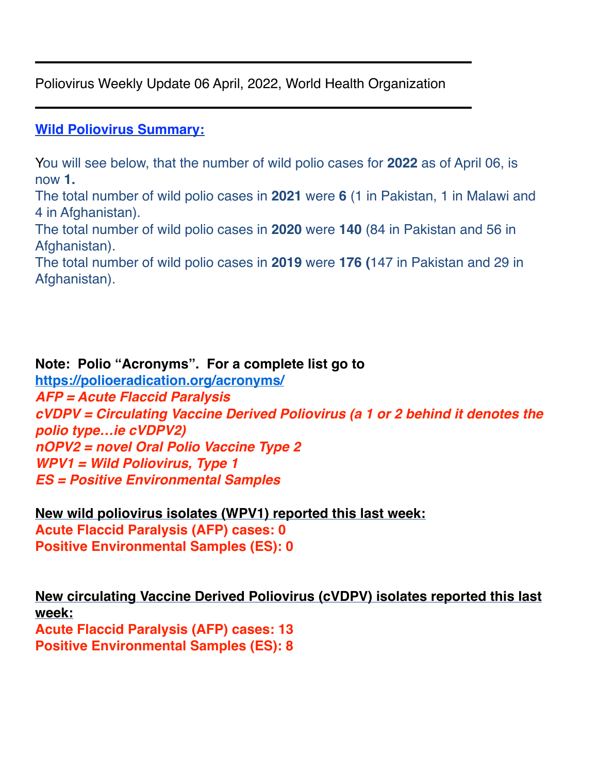Poliovirus Weekly Update 06 April, 2022, World Health Organization

#### **Wild Poliovirus Summary:**

You will see below, that the number of wild polio cases for **2022** as of April 06, is now **1.**

The total number of wild polio cases in **2021** were **6** (1 in Pakistan, 1 in Malawi and 4 in Afghanistan).

The total number of wild polio cases in **2020** were **140** (84 in Pakistan and 56 in Afghanistan).

The total number of wild polio cases in **2019** were **176 (**147 in Pakistan and 29 in Afghanistan).

**Note: Polio "Acronyms". For a complete list go to <https://polioeradication.org/acronyms/>** *AFP = Acute Flaccid Paralysis cVDPV = Circulating Vaccine Derived Poliovirus (a 1 or 2 behind it denotes the polio type…ie cVDPV2) nOPV2 = novel Oral Polio Vaccine Type 2 WPV1 = Wild Poliovirus, Type 1 ES = Positive Environmental Samples*

**New wild poliovirus isolates (WPV1) reported this last week: Acute Flaccid Paralysis (AFP) cases: 0 Positive Environmental Samples (ES): 0**

**New circulating Vaccine Derived Poliovirus (cVDPV) isolates reported this last week: Acute Flaccid Paralysis (AFP) cases: 13 Positive Environmental Samples (ES): 8**